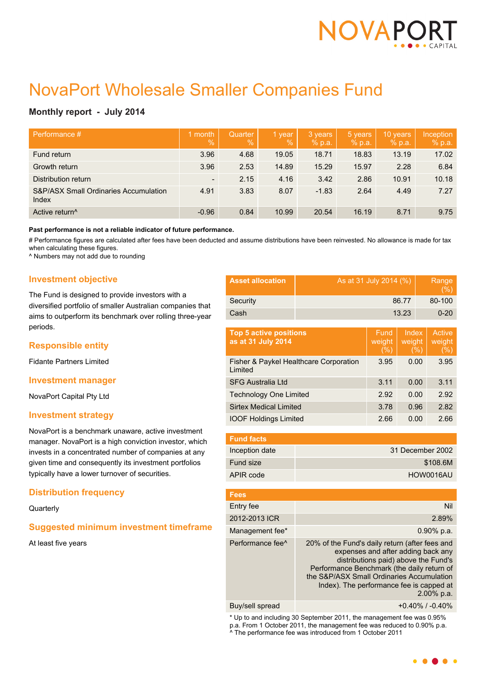

# NovaPort Wholesale Smaller Companies Fund

# **Monthly report - July 2014**

| Performance #                                             | month<br>$\overline{Q}_0$ | <b>Quarter</b><br>$\%$ | 1 year<br>$\frac{9}{6}$ | 3 years<br>% p.a. | 5 years<br>% p.a. | 10 years<br>% p.a. | Inception<br>% p.a. |
|-----------------------------------------------------------|---------------------------|------------------------|-------------------------|-------------------|-------------------|--------------------|---------------------|
| Fund return                                               | 3.96                      | 4.68                   | 19.05                   | 18.71             | 18.83             | 13.19              | 17.02               |
| Growth return                                             | 3.96                      | 2.53                   | 14.89                   | 15.29             | 15.97             | 2.28               | 6.84                |
| Distribution return                                       | $\overline{\phantom{a}}$  | 2.15                   | 4.16                    | 3.42              | 2.86              | 10.91              | 10.18               |
| <b>S&amp;P/ASX Small Ordinaries Accumulation</b><br>Index | 4.91                      | 3.83                   | 8.07                    | $-1.83$           | 2.64              | 4.49               | 7.27                |
| Active return <sup>^</sup>                                | $-0.96$                   | 0.84                   | 10.99                   | 20.54             | 16.19             | 8.71               | 9.75                |

**Past performance is not a reliable indicator of future performance.**

# Performance figures are calculated after fees have been deducted and assume distributions have been reinvested. No allowance is made for tax when calculating these figures.

^ Numbers may not add due to rounding

## **Investment objective**

The Fund is designed to provide investors with a diversified portfolio of smaller Australian companies that aims to outperform its benchmark over rolling three-year periods.

## **Responsible entity**

Fidante Partners Limited

#### **Investment manager**

NovaPort Capital Pty Ltd

#### **Investment strategy**

NovaPort is a benchmark unaware, active investment manager. NovaPort is a high conviction investor, which invests in a concentrated number of companies at any given time and consequently its investment portfolios typically have a lower turnover of securities.

## **Distribution frequency**

**Quarterly** 

## **Suggested minimum investment timeframe**

At least five years

| <b>Asset allocation</b> | As at 31 July 2014 (%) | Range<br>(% ) |
|-------------------------|------------------------|---------------|
| Security                | 86.77                  | 80-100        |
| Cash                    | 13.23                  | $0 - 20$      |

| <b>Top 5 active positions</b><br>as at 31 July 2014 | Fund<br>weight<br>(% ) | Index<br>weight<br>(%) | Active<br>weight<br>(%) |
|-----------------------------------------------------|------------------------|------------------------|-------------------------|
| Fisher & Paykel Healthcare Corporation<br>Limited   | 3.95                   | 0.00                   | 3.95                    |
| <b>SFG Australia Ltd</b>                            | 3.11                   | 0.00                   | 3.11                    |
| <b>Technology One Limited</b>                       | 2.92                   | 0.00                   | 2.92                    |
| <b>Sirtex Medical Limited</b>                       | 3.78                   | 0.96                   | 2.82                    |
| <b>IOOF Holdings Limited</b>                        | 2.66                   | 0.00                   | 2.66                    |

| <b>Fund facts</b> |                  |
|-------------------|------------------|
| Inception date    | 31 December 2002 |
| Fund size         | \$108.6M         |
| APIR code         | HOW0016AU        |

| <b>Fees</b>                  |                                                                                                                                                                                                                                                                                      |
|------------------------------|--------------------------------------------------------------------------------------------------------------------------------------------------------------------------------------------------------------------------------------------------------------------------------------|
| Entry fee                    | Nil                                                                                                                                                                                                                                                                                  |
| 2012-2013 ICR                | 2.89%                                                                                                                                                                                                                                                                                |
| Management fee*              | $0.90\%$ p.a.                                                                                                                                                                                                                                                                        |
| Performance fee <sup>^</sup> | 20% of the Fund's daily return (after fees and<br>expenses and after adding back any<br>distributions paid) above the Fund's<br>Performance Benchmark (the daily return of<br>the S&P/ASX Small Ordinaries Accumulation<br>Index). The performance fee is capped at<br>$2.00\%$ p.a. |
|                              |                                                                                                                                                                                                                                                                                      |

Buy/sell spread +0.40% / -0.40%

\* Up to and including 30 September 2011, the management fee was 0.95% p.a. From 1 October 2011, the management fee was reduced to 0.90% p.a. ^ The performance fee was introduced from 1 October 2011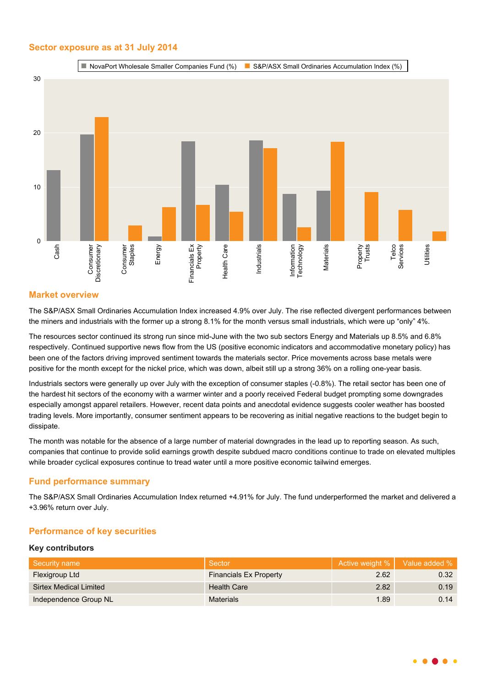## **Sector exposure as at 31 July 2014**



# **Market overview**

The S&P/ASX Small Ordinaries Accumulation Index increased 4.9% over July. The rise reflected divergent performances between the miners and industrials with the former up a strong 8.1% for the month versus small industrials, which were up "only" 4%.

The resources sector continued its strong run since mid-June with the two sub sectors Energy and Materials up 8.5% and 6.8% respectively. Continued supportive news flow from the US (positive economic indicators and accommodative monetary policy) has been one of the factors driving improved sentiment towards the materials sector. Price movements across base metals were positive for the month except for the nickel price, which was down, albeit still up a strong 36% on a rolling one-year basis.

Industrials sectors were generally up over July with the exception of consumer staples (-0.8%). The retail sector has been one of the hardest hit sectors of the economy with a warmer winter and a poorly received Federal budget prompting some downgrades especially amongst apparel retailers. However, recent data points and anecdotal evidence suggests cooler weather has boosted trading levels. More importantly, consumer sentiment appears to be recovering as initial negative reactions to the budget begin to dissipate.

The month was notable for the absence of a large number of material downgrades in the lead up to reporting season. As such, companies that continue to provide solid earnings growth despite subdued macro conditions continue to trade on elevated multiples while broader cyclical exposures continue to tread water until a more positive economic tailwind emerges.

## **Fund performance summary**

The S&P/ASX Small Ordinaries Accumulation Index returned +4.91% for July. The fund underperformed the market and delivered a +3.96% return over July.

# **Performance of key securities**

#### **Key contributors**

| Security name          | Sector                        | Active weight % | Value added % |
|------------------------|-------------------------------|-----------------|---------------|
| Flexigroup Ltd         | <b>Financials Ex Property</b> | 2.62            | 0.32          |
| Sirtex Medical Limited | <b>Health Care</b>            | 2.82            | 0.19          |
| Independence Group NL  | <b>Materials</b>              | 1.89            | 0.14          |